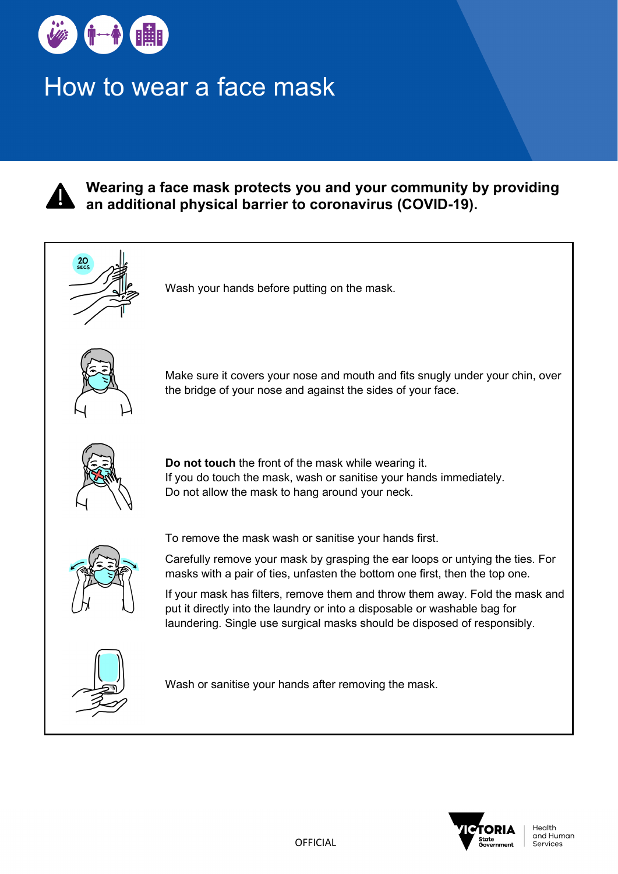

## How to wear a face mask



**Wearing a face mask protects you and your community by providing an additional physical barrier to coronavirus (COVID-19).**